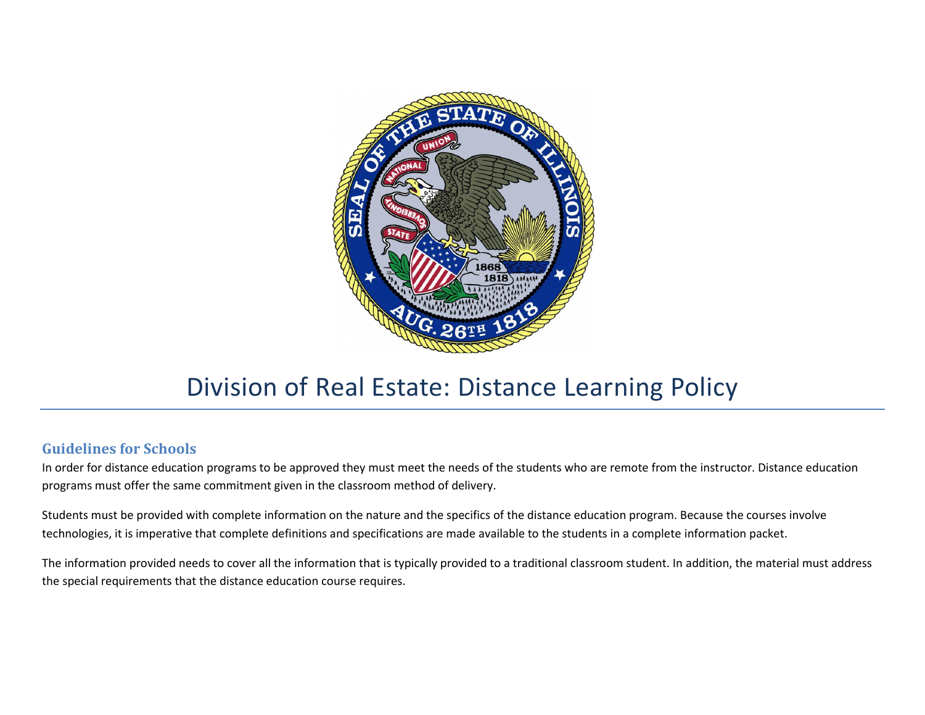

## Division of Real Estate: Distance Learning Policy

## **Guidelines for Schools**

In order for distance education programs to be approved they must meet the needs of the students who are remote from the instructor. Distance education programs must offer the same commitment given in the classroom method of delivery.

Students must be provided with complete information on the nature and the specifics of the distance education program. Because the courses involve technologies, it is imperative that complete definitions and specifications are made available to the students in a complete information packet.

The information provided needs to cover all the information that is typically provided to a traditional classroom student. In addition, the material must address the special requirements that the distance education course requires.